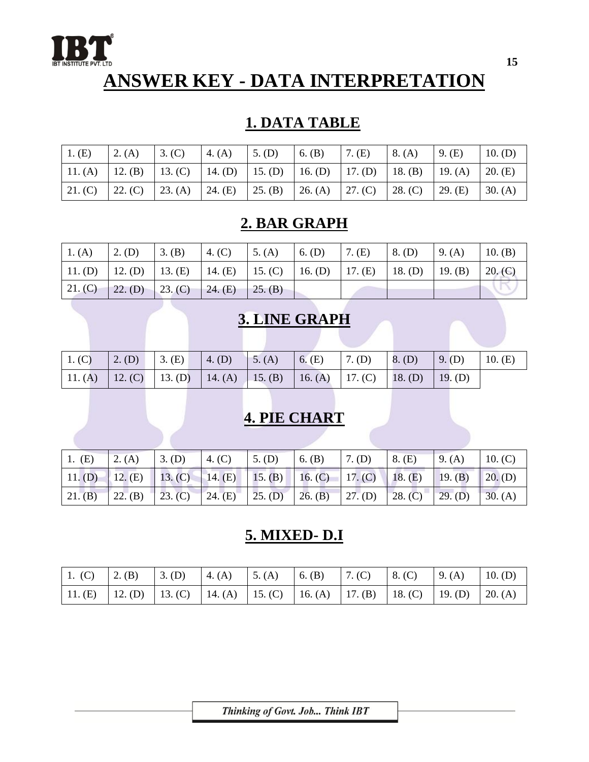

# **ANSWER KEY - DATA INTERPRETATION**

### **1. DATA TABLE**

| 1. (E)  | 2. (A)  | 3. (C)                                                                                  | 4. $(A)$ | $\vert 5.$ (D) | 6. $(B)$ | $7. \times$ | 8. (A)  | 9. (E)  | 10. (D) |
|---------|---------|-----------------------------------------------------------------------------------------|----------|----------------|----------|-------------|---------|---------|---------|
|         |         | 11. (A)   12. (B)   13. (C)   14. (D)   15. (D)   16. (D)   17. (D)   18. (B)   19. (A) |          |                |          |             |         |         | 20. (E) |
| 21. (C) | 22. (C) | 23. (A)   24. (E)   25. (B)   26. (A)   27. (C)                                         |          |                |          |             | 28. (C) | 29. (E) | 30. (A) |

#### **2. BAR GRAPH**

| 1. (A) | $\vert$ 2. (D) | 3. (B) 4. (C)                                                                           | 5. (A) | $6.$ (D) | $7. \times$ | $8.$ (D) | 9. (A) | 10. (B) |
|--------|----------------|-----------------------------------------------------------------------------------------|--------|----------|-------------|----------|--------|---------|
|        |                | 11. (D)   12. (D)   13. (E)   14. (E)   15. (C)   16. (D)   17. (E)   18. (D)   19. (B) |        |          |             |          |        | 20. (C) |
|        |                | $21. (C)$ 22. (D) 23. (C) 24. (E) 25. (B)                                               |        |          |             |          |        |         |

## **3. LINE GRAPH**

| $1.$ (C) | $\vert 2.$ (D) $\vert 3.$ (E) $\vert 4.$ (D) $\vert 5.$ (A) $\vert 6.$ (E) $\vert 7.$ (D) $\vert 8.$ (D) $\vert 9.$ (D) |  |  |  | 10. (E) |
|----------|-------------------------------------------------------------------------------------------------------------------------|--|--|--|---------|
|          | 11. (A) 12. (C) 13. (D) 14. (A) 15. (B) 16. (A) 17. (C) 18. (D) 19. (D)                                                 |  |  |  |         |

# **4. PIE CHART**

|  | 1. (E) 2. (A) 3. (D) 4. (C) 5. (D) 6. (B) 7. (D) 8. (E) 9. (A) 10. (C)          |  |  |  |  |
|--|---------------------------------------------------------------------------------|--|--|--|--|
|  | 11. (D) 12. (E) 13. (C) 14. (E) 15. (B) 16. (C) 17. (C) 18. (E) 19. (B) 20. (D) |  |  |  |  |
|  | 21. (B) 22. (B) 23. (C) 24. (E) 25. (D) 26. (B) 27. (D) 28. (C) 29. (D) 30. (A) |  |  |  |  |

#### **5. MIXED- D.I**

|  |  | 1. (C) 2. (B) 3. (D) 4. (A) 5. (A) 6. (B) 7. (C) 8. (C) 9. (A) 10. (D)          |  |  |
|--|--|---------------------------------------------------------------------------------|--|--|
|  |  | 11. (E) 12. (D) 13. (C) 14. (A) 15. (C) 16. (A) 17. (B) 18. (C) 19. (D) 20. (A) |  |  |